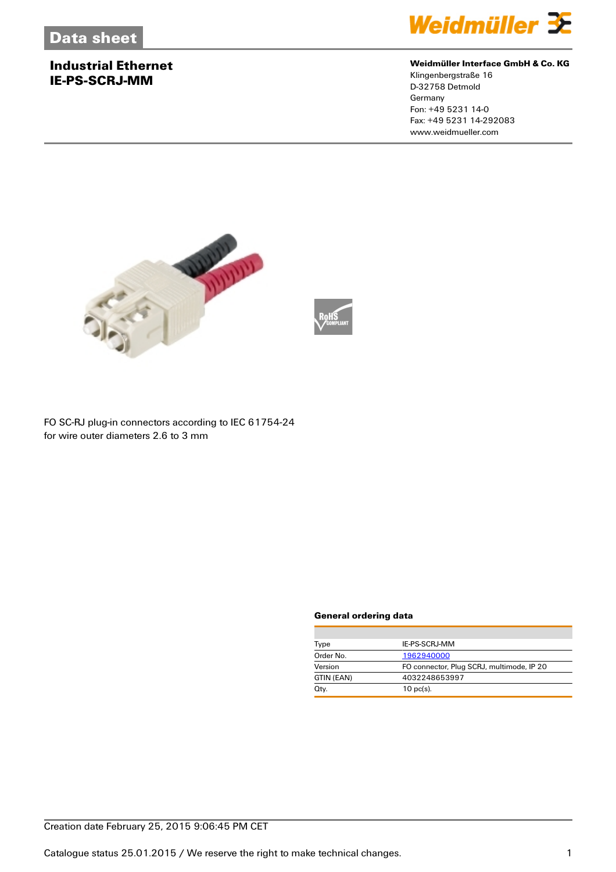# **Industrial Ethernet IE-PS-SCRJ-MM**



#### **Weidmüller Interface GmbH & Co. KG**

Klingenbergstraße 16 D-32758 Detmold Germany Fon: +49 5231 14-0 Fax: +49 5231 14-292083 www.weidmueller.com



FO SC-RJ plug-in connectors according to IEC 61754-24 for wire outer diameters 2.6 to 3 mm

#### **General ordering data**

| Type       | IE-PS-SCRJ-MM                             |
|------------|-------------------------------------------|
| Order No.  | 1962940000                                |
| Version    | FO connector, Plug SCRJ, multimode, IP 20 |
| GTIN (EAN) | 4032248653997                             |
| Qtv.       | $10 \text{ pc(s)}$ .                      |